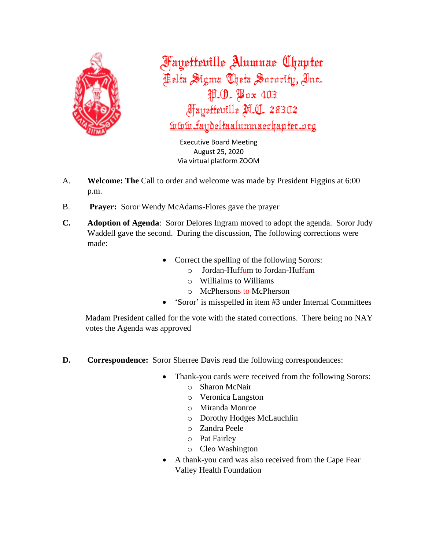

**Fayetteville Alumnae Chapter** Pelta Sigma Theta Sorority, Inc. P. (9. Pax 403 *Mayettewille M.C. 28302* <u>ívívú faydeltaalumnaechapter.org</u>

> Executive Board Meeting August 25, 2020 Via virtual platform ZOOM

- A. **Welcome: The** Call to order and welcome was made by President Figgins at 6:00 p.m.
- B. **Prayer:** Soror Wendy McAdams-Flores gave the prayer
- **C. Adoption of Agenda**: Soror Delores Ingram moved to adopt the agenda. Soror Judy Waddell gave the second. During the discussion, The following corrections were made:
	- Correct the spelling of the following Sorors:
		- o Jordan-Huffum to Jordan-Huffam
		- $\circ$  Williaims to Williams
		- o McPhersons to McPherson
	- 'Soror' is misspelled in item #3 under Internal Committees

Madam President called for the vote with the stated corrections. There being no NAY votes the Agenda was approved

- **D. Correspondence:** Soror Sherree Davis read the following correspondences:
	- Thank-you cards were received from the following Sorors:
		- o Sharon McNair
			- o Veronica Langston
			- o Miranda Monroe
			- o Dorothy Hodges McLauchlin
		- o Zandra Peele
		- o Pat Fairley
		- o Cleo Washington
	- A thank-you card was also received from the Cape Fear Valley Health Foundation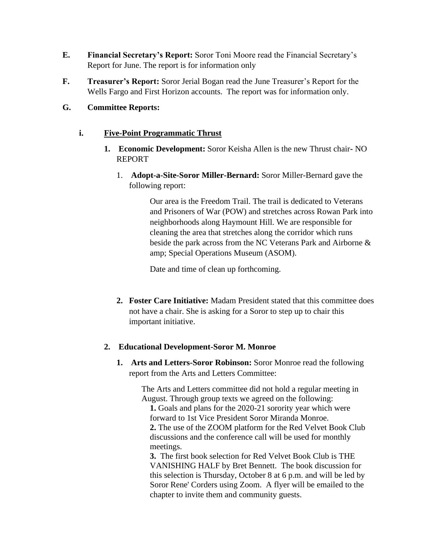- **E. Financial Secretary's Report:** Soror Toni Moore read the Financial Secretary's Report for June. The report is for information only
- **F. Treasurer's Report:** Soror Jerial Bogan read the June Treasurer's Report for the Wells Fargo and First Horizon accounts. The report was for information only.

### **G. Committee Reports:**

### **i. Five-Point Programmatic Thrust**

- **1. Economic Development:** Soror Keisha Allen is the new Thrust chair**-** NO REPORT
	- 1. **Adopt-a-Site-Soror Miller-Bernard:** Soror Miller-Bernard gave the following report:

Our area is the Freedom Trail. The trail is dedicated to Veterans and Prisoners of War (POW) and stretches across Rowan Park into neighborhoods along Haymount Hill. We are responsible for cleaning the area that stretches along the corridor which runs beside the park across from the NC Veterans Park and Airborne & amp; Special Operations Museum (ASOM).

Date and time of clean up forthcoming.

**2. Foster Care Initiative:** Madam President stated that this committee does not have a chair. She is asking for a Soror to step up to chair this important initiative.

### **2. Educational Development-Soror M. Monroe**

**1. Arts and Letters-Soror Robinson:** Soror Monroe read the following report from the Arts and Letters Committee:

> The Arts and Letters committee did not hold a regular meeting in August. Through group texts we agreed on the following:

**1.** Goals and plans for the 2020-21 sorority year which were forward to 1st Vice President Soror Miranda Monroe. **2.** The use of the ZOOM platform for the Red Velvet Book Club discussions and the conference call will be used for monthly meetings.

**3.** The first book selection for Red Velvet Book Club is THE VANISHING HALF by Bret Bennett. The book discussion for this selection is Thursday, October 8 at 6 p.m. and will be led by Soror Rene' Corders using Zoom. A flyer will be emailed to the chapter to invite them and community guests.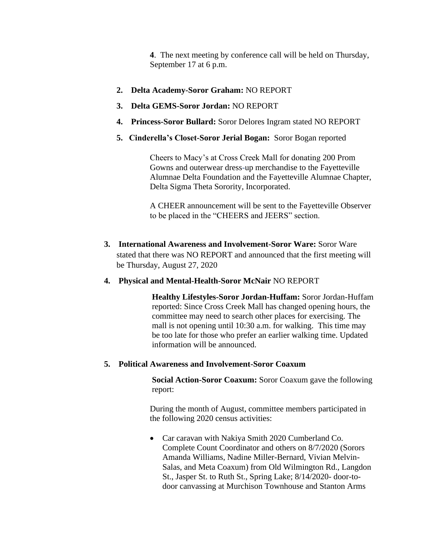**4**. The next meeting by conference call will be held on Thursday, September 17 at 6 p.m.

- **2. Delta Academy-Soror Graham:** NO REPORT
- **3. Delta GEMS-Soror Jordan:** NO REPORT
- **4. Princess-Soror Bullard:** Soror Delores Ingram stated NO REPORT
- **5. Cinderella's Closet-Soror Jerial Bogan:** Soror Bogan reported

Cheers to Macy's at Cross Creek Mall for donating 200 Prom Gowns and outerwear dress-up merchandise to the Fayetteville Alumnae Delta Foundation and the Fayetteville Alumnae Chapter, Delta Sigma Theta Sorority, Incorporated.

A CHEER announcement will be sent to the Fayetteville Observer to be placed in the "CHEERS and JEERS" section.

- **3. International Awareness and Involvement-Soror Ware:** Soror Ware stated that there was NO REPORT and announced that the first meeting will be Thursday, August 27, 2020
- **4. Physical and Mental-Health-Soror McNair** NO REPORT

**Healthy Lifestyles-Soror Jordan-Huffam:** Soror Jordan-Huffam reported: Since Cross Creek Mall has changed opening hours, the committee may need to search other places for exercising. The mall is not opening until 10:30 a.m. for walking. This time may be too late for those who prefer an earlier walking time. Updated information will be announced.

**5. Political Awareness and Involvement-Soror Coaxum**

**Social Action-Soror Coaxum:** Soror Coaxum gave the following report:

During the month of August, committee members participated in the following 2020 census activities:

• Car caravan with Nakiya Smith 2020 Cumberland Co. Complete Count Coordinator and others on 8/7/2020 (Sorors Amanda Williams, Nadine Miller-Bernard, Vivian Melvin-Salas, and Meta Coaxum) from Old Wilmington Rd., Langdon St., Jasper St. to Ruth St., Spring Lake; 8/14/2020- door-todoor canvassing at Murchison Townhouse and Stanton Arms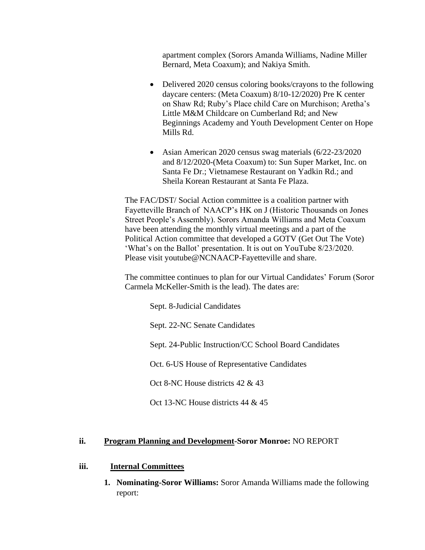apartment complex (Sorors Amanda Williams, Nadine Miller Bernard, Meta Coaxum); and Nakiya Smith.

- Delivered 2020 census coloring books/crayons to the following daycare centers: (Meta Coaxum) 8/10-12/2020) Pre K center on Shaw Rd; Ruby's Place child Care on Murchison; Aretha's Little M&M Childcare on Cumberland Rd; and New Beginnings Academy and Youth Development Center on Hope Mills Rd.
- Asian American 2020 census swag materials (6/22-23/2020) and 8/12/2020-(Meta Coaxum) to: Sun Super Market, Inc. on Santa Fe Dr.; Vietnamese Restaurant on Yadkin Rd.; and Sheila Korean Restaurant at Santa Fe Plaza.

The FAC/DST/ Social Action committee is a coalition partner with Fayetteville Branch of NAACP's HK on J (Historic Thousands on Jones Street People's Assembly). Sorors Amanda Williams and Meta Coaxum have been attending the monthly virtual meetings and a part of the Political Action committee that developed a GOTV (Get Out The Vote) 'What's on the Ballot' presentation. It is out on YouTube 8/23/2020. Please visit youtube@NCNAACP-Fayetteville and share.

The committee continues to plan for our Virtual Candidates' Forum (Soror Carmela McKeller-Smith is the lead). The dates are:

Sept. 8-Judicial Candidates

Sept. 22-NC Senate Candidates

Sept. 24-Public Instruction/CC School Board Candidates

Oct. 6-US House of Representative Candidates

Oct 8-NC House districts 42 & 43

Oct 13-NC House districts 44 & 45

### **ii. Program Planning and Development-Soror Monroe:** NO REPORT

#### **iii. Internal Committees**

**1. Nominating-Soror Williams:** Soror Amanda Williams made the following report: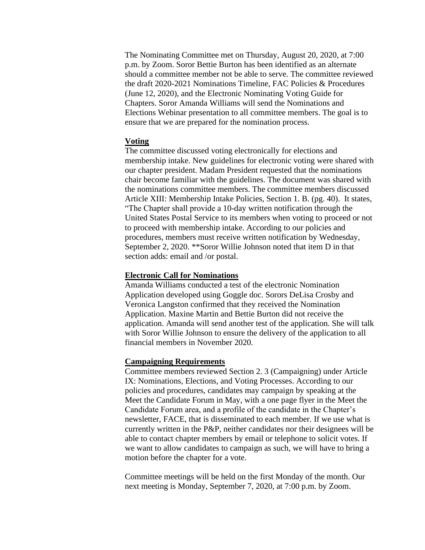The Nominating Committee met on Thursday, August 20, 2020, at 7:00 p.m. by Zoom. Soror Bettie Burton has been identified as an alternate should a committee member not be able to serve. The committee reviewed the draft 2020-2021 Nominations Timeline, FAC Policies & Procedures (June 12, 2020), and the Electronic Nominating Voting Guide for Chapters. Soror Amanda Williams will send the Nominations and Elections Webinar presentation to all committee members. The goal is to ensure that we are prepared for the nomination process.

### **Voting**

The committee discussed voting electronically for elections and membership intake. New guidelines for electronic voting were shared with our chapter president. Madam President requested that the nominations chair become familiar with the guidelines. The document was shared with the nominations committee members. The committee members discussed Article XIII: Membership Intake Policies, Section 1. B. (pg. 40). It states, "The Chapter shall provide a 10-day written notification through the United States Postal Service to its members when voting to proceed or not to proceed with membership intake. According to our policies and procedures, members must receive written notification by Wednesday, September 2, 2020. \*\*Soror Willie Johnson noted that item D in that section adds: email and /or postal.

#### **Electronic Call for Nominations**

Amanda Williams conducted a test of the electronic Nomination Application developed using Goggle doc. Sorors DeLisa Crosby and Veronica Langston confirmed that they received the Nomination Application. Maxine Martin and Bettie Burton did not receive the application. Amanda will send another test of the application. She will talk with Soror Willie Johnson to ensure the delivery of the application to all financial members in November 2020.

#### **Campaigning Requirements**

Committee members reviewed Section 2. 3 (Campaigning) under Article IX: Nominations, Elections, and Voting Processes. According to our policies and procedures, candidates may campaign by speaking at the Meet the Candidate Forum in May, with a one page flyer in the Meet the Candidate Forum area, and a profile of the candidate in the Chapter's newsletter, FACE, that is disseminated to each member. If we use what is currently written in the P&P, neither candidates nor their designees will be able to contact chapter members by email or telephone to solicit votes. If we want to allow candidates to campaign as such, we will have to bring a motion before the chapter for a vote.

Committee meetings will be held on the first Monday of the month. Our next meeting is Monday, September 7, 2020, at 7:00 p.m. by Zoom.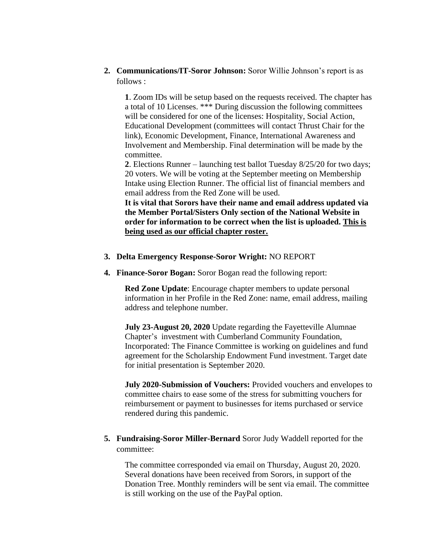**2. Communications/IT-Soror Johnson:** Soror Willie Johnson's report is as follows :

**1**. Zoom IDs will be setup based on the requests received. The chapter has a total of 10 Licenses. \*\*\* During discussion the following committees will be considered for one of the licenses: Hospitality, Social Action, Educational Development (committees will contact Thrust Chair for the link), Economic Development, Finance, International Awareness and Involvement and Membership. Final determination will be made by the committee.

**2**. Elections Runner – launching test ballot Tuesday 8/25/20 for two days; 20 voters. We will be voting at the September meeting on Membership Intake using Election Runner. The official list of financial members and email address from the Red Zone will be used.

**It is vital that Sorors have their name and email address updated via the Member Portal/Sisters Only section of the National Website in order for information to be correct when the list is uploaded. This is being used as our official chapter roster.**

### **3. Delta Emergency Response-Soror Wright:** NO REPORT

**4. Finance-Soror Bogan:** Soror Bogan read the following report:

**Red Zone Update**: Encourage chapter members to update personal information in her Profile in the Red Zone: name, email address, mailing address and telephone number.

**July 23-August 20, 2020** Update regarding the Fayetteville Alumnae Chapter's investment with Cumberland Community Foundation, Incorporated: The Finance Committee is working on guidelines and fund agreement for the Scholarship Endowment Fund investment. Target date for initial presentation is September 2020.

**July 2020-Submission of Vouchers:** Provided vouchers and envelopes to committee chairs to ease some of the stress for submitting vouchers for reimbursement or payment to businesses for items purchased or service rendered during this pandemic.

**5. Fundraising-Soror Miller-Bernard** Soror Judy Waddell reported for the committee:

The committee corresponded via email on Thursday, August 20, 2020. Several donations have been received from Sorors, in support of the Donation Tree. Monthly reminders will be sent via email. The committee is still working on the use of the PayPal option.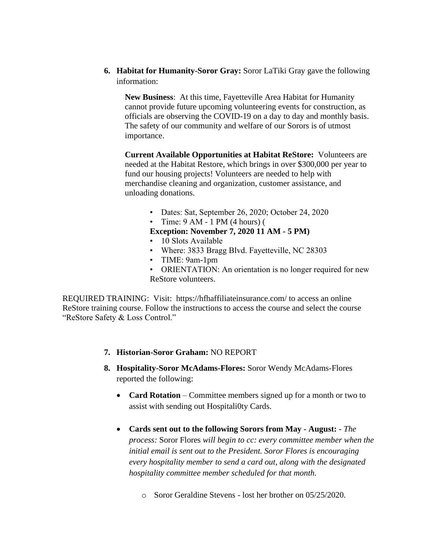**6. Habitat for Humanity-Soror Gray:** Soror LaTiki Gray gave the following information:

**New Business**: At this time, Fayetteville Area Habitat for Humanity cannot provide future upcoming volunteering events for construction, as officials are observing the COVID-19 on a day to day and monthly basis. The safety of our community and welfare of our Sorors is of utmost importance.

**Current Available Opportunities at Habitat ReStore:** Volunteers are needed at the Habitat Restore, which brings in over \$300,000 per year to fund our housing projects! Volunteers are needed to help with merchandise cleaning and organization, customer assistance, and unloading donations.

- Dates: Sat, September 26, 2020; October 24, 2020
- Time:  $9 \text{ AM} 1 \text{ PM} (4 \text{ hours})$  (

**Exception: November 7, 2020 11 AM - 5 PM)** 

- 10 Slots Available
- Where: 3833 Bragg Blvd. Fayetteville, NC 28303
- TIME: 9am-1pm
- ORIENTATION: An orientation is no longer required for new ReStore volunteers.

REQUIRED TRAINING: Visit: https://hfhaffiliateinsurance.com/ to access an online ReStore training course. Follow the instructions to access the course and select the course "ReStore Safety & Loss Control."

- **7. Historian-Soror Graham:** NO REPORT
- **8. Hospitality-Soror McAdams-Flores:** Soror Wendy McAdams-Flores reported the following:
	- **Card Rotation** Committee members signed up for a month or two to assist with sending out Hospitali0ty Cards.
	- **Cards sent out to the following Sorors from May - August:** *The process:* Soror Flores *will begin to cc: every committee member when the initial email is sent out to the President. Soror Flores is encouraging every hospitality member to send a card out, along with the designated hospitality committee member scheduled for that month.*
		- o Soror Geraldine Stevens lost her brother on 05/25/2020.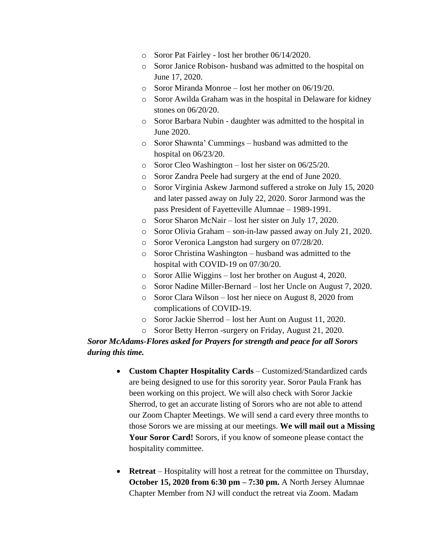- o Soror Pat Fairley lost her brother 06/14/2020.
- o Soror Janice Robison- husband was admitted to the hospital on June 17, 2020.
- o Soror Miranda Monroe lost her mother on 06/19/20.
- o Soror Awilda Graham was in the hospital in Delaware for kidney stones on 06/20/20.
- o Soror Barbara Nubin daughter was admitted to the hospital in June 2020.
- o Soror Shawnta' Cummings husband was admitted to the hospital on 06/23/20.
- o Soror Cleo Washington lost her sister on 06/25/20.
- o Soror Zandra Peele had surgery at the end of June 2020.
- o Soror Virginia Askew Jarmond suffered a stroke on July 15, 2020 and later passed away on July 22, 2020. Soror Jarmond was the pass President of Fayetteville Alumnae – 1989-1991.
- o Soror Sharon McNair lost her sister on July 17, 2020.
- o Soror Olivia Graham son-in-law passed away on July 21, 2020.
- o Soror Veronica Langston had surgery on 07/28/20.
- o Soror Christina Washington husband was admitted to the hospital with COVID-19 on 07/30/20.
- o Soror Allie Wiggins lost her brother on August 4, 2020.
- o Soror Nadine Miller-Bernard lost her Uncle on August 7, 2020.
- o Soror Clara Wilson lost her niece on August 8, 2020 from complications of COVID-19.
- o Soror Jackie Sherrod lost her Aunt on August 11, 2020.
- o Soror Betty Herron -surgery on Friday, August 21, 2020.

# *Soror McAdams-Flores asked for Prayers for strength and peace for all Sorors during this time.*

- **Custom Chapter Hospitality Cards** Customized/Standardized cards are being designed to use for this sorority year. Soror Paula Frank has been working on this project. We will also check with Soror Jackie Sherrod, to get an accurate listing of Sorors who are not able to attend our Zoom Chapter Meetings. We will send a card every three months to those Sorors we are missing at our meetings. **We will mail out a Missing Your Soror Card!** Sorors, if you know of someone please contact the hospitality committee.
- **Retreat** Hospitality will host a retreat for the committee on Thursday, **October 15, 2020 from 6:30 pm – 7:30 pm.** A North Jersey Alumnae Chapter Member from NJ will conduct the retreat via Zoom. Madam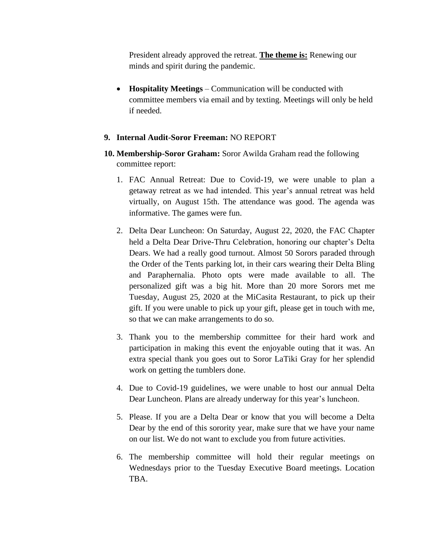President already approved the retreat. **The theme is:** Renewing our minds and spirit during the pandemic.

• **Hospitality Meetings** – Communication will be conducted with committee members via email and by texting. Meetings will only be held if needed.

### **9. Internal Audit-Soror Freeman:** NO REPORT

- **10. Membership-Soror Graham:** Soror Awilda Graham read the following committee report:
	- 1. FAC Annual Retreat: Due to Covid-19, we were unable to plan a getaway retreat as we had intended. This year's annual retreat was held virtually, on August 15th. The attendance was good. The agenda was informative. The games were fun.
	- 2. Delta Dear Luncheon: On Saturday, August 22, 2020, the FAC Chapter held a Delta Dear Drive-Thru Celebration, honoring our chapter's Delta Dears. We had a really good turnout. Almost 50 Sorors paraded through the Order of the Tents parking lot, in their cars wearing their Delta Bling and Paraphernalia. Photo opts were made available to all. The personalized gift was a big hit. More than 20 more Sorors met me Tuesday, August 25, 2020 at the MiCasita Restaurant, to pick up their gift. If you were unable to pick up your gift, please get in touch with me, so that we can make arrangements to do so.
	- 3. Thank you to the membership committee for their hard work and participation in making this event the enjoyable outing that it was. An extra special thank you goes out to Soror LaTiki Gray for her splendid work on getting the tumblers done.
	- 4. Due to Covid-19 guidelines, we were unable to host our annual Delta Dear Luncheon. Plans are already underway for this year's luncheon.
	- 5. Please. If you are a Delta Dear or know that you will become a Delta Dear by the end of this sorority year, make sure that we have your name on our list. We do not want to exclude you from future activities.
	- 6. The membership committee will hold their regular meetings on Wednesdays prior to the Tuesday Executive Board meetings. Location TBA.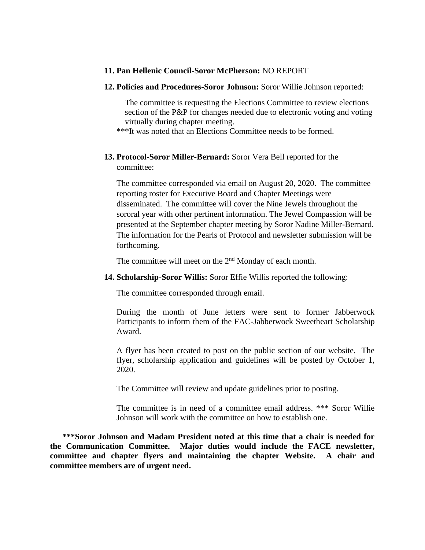#### **11. Pan Hellenic Council-Soror McPherson:** NO REPORT

#### **12. Policies and Procedures-Soror Johnson:** Soror Willie Johnson reported:

The committee is requesting the Elections Committee to review elections section of the P&P for changes needed due to electronic voting and voting virtually during chapter meeting.

\*\*\*It was noted that an Elections Committee needs to be formed.

### **13. Protocol-Soror Miller-Bernard:** Soror Vera Bell reported for the committee:

The committee corresponded via email on August 20, 2020. The committee reporting roster for Executive Board and Chapter Meetings were disseminated. The committee will cover the Nine Jewels throughout the sororal year with other pertinent information. The Jewel Compassion will be presented at the September chapter meeting by Soror Nadine Miller-Bernard. The information for the Pearls of Protocol and newsletter submission will be forthcoming.

The committee will meet on the 2<sup>nd</sup> Monday of each month.

**14. Scholarship-Soror Willis:** Soror Effie Willis reported the following:

The committee corresponded through email.

During the month of June letters were sent to former Jabberwock Participants to inform them of the FAC-Jabberwock Sweetheart Scholarship Award.

A flyer has been created to post on the public section of our website. The flyer, scholarship application and guidelines will be posted by October 1, 2020.

The Committee will review and update guidelines prior to posting.

The committee is in need of a committee email address. \*\*\* Soror Willie Johnson will work with the committee on how to establish one.

**\*\*\*Soror Johnson and Madam President noted at this time that a chair is needed for the Communication Committee. Major duties would include the FACE newsletter, committee and chapter flyers and maintaining the chapter Website. A chair and committee members are of urgent need.**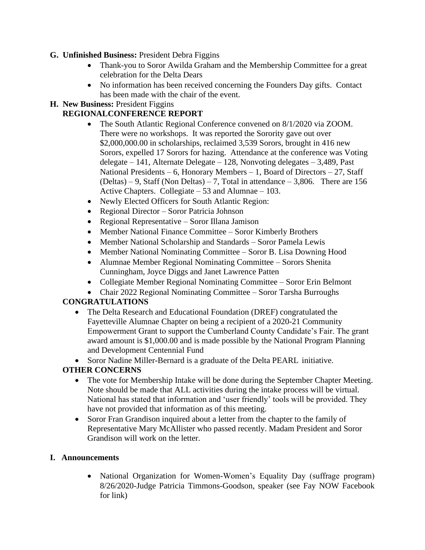## **G. Unfinished Business:** President Debra Figgins

- Thank-you to Soror Awilda Graham and the Membership Committee for a great celebration for the Delta Dears
- No information has been received concerning the Founders Day gifts. Contact has been made with the chair of the event.

# **H. New Business:** President Figgins

## **REGIONALCONFERENCE REPORT**

- The South Atlantic Regional Conference convened on 8/1/2020 via ZOOM. There were no workshops. It was reported the Sorority gave out over \$2,000,000.00 in scholarships, reclaimed 3,539 Sorors, brought in 416 new Sorors, expelled 17 Sorors for hazing. Attendance at the conference was Voting delegate – 141, Alternate Delegate – 128, Nonvoting delegates – 3,489, Past National Presidents – 6, Honorary Members – 1, Board of Directors – 27, Staff  $(Deltas) - 9$ , Staff (Non Deltas) – 7, Total in attendance – 3,806. There are 156 Active Chapters. Collegiate  $-53$  and Alumnae  $-103$ .
- Newly Elected Officers for South Atlantic Region:
- Regional Director Soror Patricia Johnson
- Regional Representative Soror Illana Jamison
- Member National Finance Committee Soror Kimberly Brothers
- Member National Scholarship and Standards Soror Pamela Lewis
- Member National Nominating Committee Soror B. Lisa Downing Hood
- Alumnae Member Regional Nominating Committee Sorors Shenita Cunningham, Joyce Diggs and Janet Lawrence Patten
- Collegiate Member Regional Nominating Committee Soror Erin Belmont
- Chair 2022 Regional Nominating Committee Soror Tarsha Burroughs

# **CONGRATULATIONS**

• The Delta Research and Educational Foundation (DREF) congratulated the Fayetteville Alumnae Chapter on being a recipient of a 2020-21 Community Empowerment Grant to support the Cumberland County Candidate's Fair. The grant award amount is \$1,000.00 and is made possible by the National Program Planning and Development Centennial Fund

• Soror Nadine Miller-Bernard is a graduate of the Delta PEARL initiative.

# **OTHER CONCERNS**

- The vote for Membership Intake will be done during the September Chapter Meeting. Note should be made that ALL activities during the intake process will be virtual. National has stated that information and 'user friendly' tools will be provided. They have not provided that information as of this meeting.
- Soror Fran Grandison inquired about a letter from the chapter to the family of Representative Mary McAllister who passed recently. Madam President and Soror Grandison will work on the letter.

### **I. Announcements**

• National Organization for Women-Women's Equality Day (suffrage program) 8/26/2020-Judge Patricia Timmons-Goodson, speaker (see Fay NOW Facebook for link)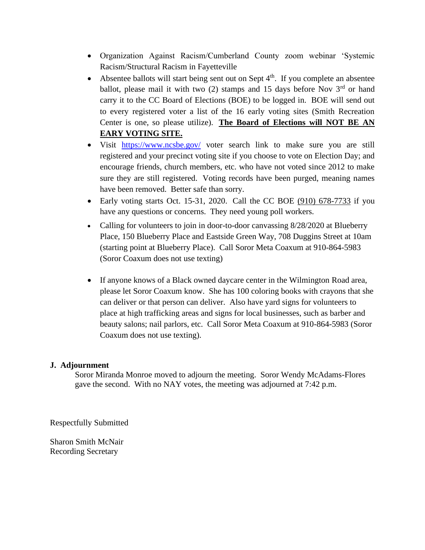- Organization Against Racism/Cumberland County zoom webinar 'Systemic Racism/Structural Racism in Fayetteville
- Absentee ballots will start being sent out on Sept  $4<sup>th</sup>$ . If you complete an absentee ballot, please mail it with two  $(2)$  stamps and 15 days before Nov  $3<sup>rd</sup>$  or hand carry it to the CC Board of Elections (BOE) to be logged in. BOE will send out to every registered voter a list of the 16 early voting sites (Smith Recreation Center is one, so please utilize). **The Board of Elections will NOT BE AN EARY VOTING SITE.**
- Visit <https://www.ncsbe.gov/> voter search link to make sure you are still registered and your precinct voting site if you choose to vote on Election Day; and encourage friends, church members, etc. who have not voted since 2012 to make sure they are still registered. Voting records have been purged, meaning names have been removed. Better safe than sorry.
- Early voting starts Oct. 15-31, 2020. Call the CC BOE [\(910\) 678-7733](https://www.google.com/search?sxsrf=ALeKk005gAw9Z_lZ68UlCf6jH4aivd6uWw%3A1598290907557&ei=2_tDX-HNIdmxytMPxc-3sAk&q=cumberland+county+boe&gs_ssp=eJzj4tZP1zcsSSvJNSxLMWC0UjWosLBMTDI0SjEySU6zME9LSrIyqDCyTDIwNEszSzIwSzFMMTHwEk0uzU1KLcpJzEtRSM4vzSupVEjKTwUATQ0XaA&oq=cumberland+cpunt+boe&gs_lcp=CgZwc3ktYWIQARgAMg0ILhDHARCvARANEJMCMgoILhDHARCvARANMggIABAIEA0QHjoECAAQRzoNCC4QxwEQrwEQJxCTAjoKCC4QxwEQrwEQJzoECCMQJzoICC4QsQMQgwE6AgguOgoIABCxAxCDARBDOgUIABCxAzoLCC4QsQMQxwEQowI6CAgAELEDEIMBOgIIADoICC4QxwEQrwE6BQguELEDOgQIABAKOgcIABAUEIcCOgYIABAWEB46CAgAEAcQChAeOgQIABAeOgQIABANOgYIABANEB46CAgAEA0QChAeOgYIABAHEB5QtaUVWPvZFmCd8BZoAHABeACAAX6IAaQQkgEEMTYuNpgBAKABAaoBB2d3cy13aXrAAQE&sclient=psy-ab) if you have any questions or concerns. They need young poll workers.
- Calling for volunteers to join in door-to-door canvassing 8/28/2020 at Blueberry Place, 150 Blueberry Place and Eastside Green Way, 708 Duggins Street at 10am (starting point at Blueberry Place). Call Soror Meta Coaxum at 910-864-5983 (Soror Coaxum does not use texting)
- If anyone knows of a Black owned daycare center in the Wilmington Road area, please let Soror Coaxum know. She has 100 coloring books with crayons that she can deliver or that person can deliver. Also have yard signs for volunteers to place at high trafficking areas and signs for local businesses, such as barber and beauty salons; nail parlors, etc. Call Soror Meta Coaxum at 910-864-5983 (Soror Coaxum does not use texting).

### **J. Adjournment**

Soror Miranda Monroe moved to adjourn the meeting. Soror Wendy McAdams-Flores gave the second. With no NAY votes, the meeting was adjourned at 7:42 p.m.

Respectfully Submitted

Sharon Smith McNair Recording Secretary